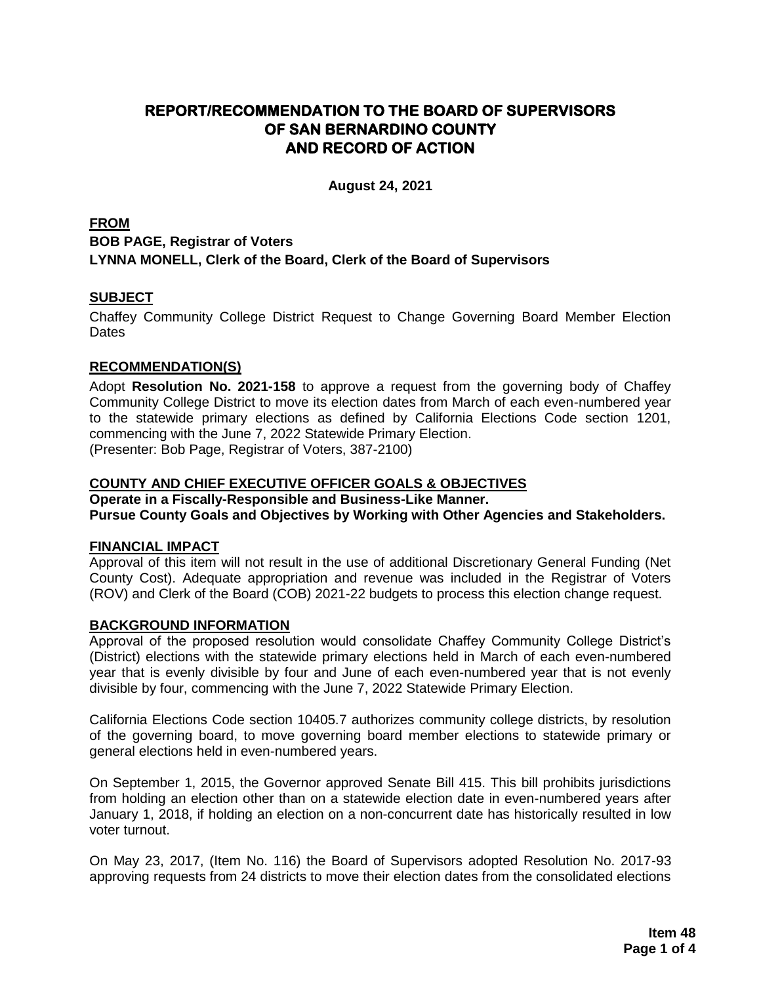# **REPORT/RECOMMENDATION TO THE BOARD OF SUPERVISORS OF SAN BERNARDINO COUNTY AND RECORD OF ACTION**

**August 24, 2021**

## **FROM BOB PAGE, Registrar of Voters LYNNA MONELL, Clerk of the Board, Clerk of the Board of Supervisors**

## **SUBJECT**

Chaffey Community College District Request to Change Governing Board Member Election **Dates** 

### **RECOMMENDATION(S)**

Adopt **Resolution No. 2021-158** to approve a request from the governing body of Chaffey Community College District to move its election dates from March of each even-numbered year to the statewide primary elections as defined by California Elections Code section 1201, commencing with the June 7, 2022 Statewide Primary Election. (Presenter: Bob Page, Registrar of Voters, 387-2100)

#### **COUNTY AND CHIEF EXECUTIVE OFFICER GOALS & OBJECTIVES**

**Operate in a Fiscally-Responsible and Business-Like Manner. Pursue County Goals and Objectives by Working with Other Agencies and Stakeholders.**

#### **FINANCIAL IMPACT**

Approval of this item will not result in the use of additional Discretionary General Funding (Net County Cost). Adequate appropriation and revenue was included in the Registrar of Voters (ROV) and Clerk of the Board (COB) 2021-22 budgets to process this election change request.

#### **BACKGROUND INFORMATION**

Approval of the proposed resolution would consolidate Chaffey Community College District's (District) elections with the statewide primary elections held in March of each even-numbered year that is evenly divisible by four and June of each even-numbered year that is not evenly divisible by four, commencing with the June 7, 2022 Statewide Primary Election.

California Elections Code section 10405.7 authorizes community college districts, by resolution of the governing board, to move governing board member elections to statewide primary or general elections held in even-numbered years.

On September 1, 2015, the Governor approved Senate Bill 415. This bill prohibits jurisdictions from holding an election other than on a statewide election date in even-numbered years after January 1, 2018, if holding an election on a non-concurrent date has historically resulted in low voter turnout.

On May 23, 2017, (Item No. 116) the Board of Supervisors adopted Resolution No. 2017-93 approving requests from 24 districts to move their election dates from the consolidated elections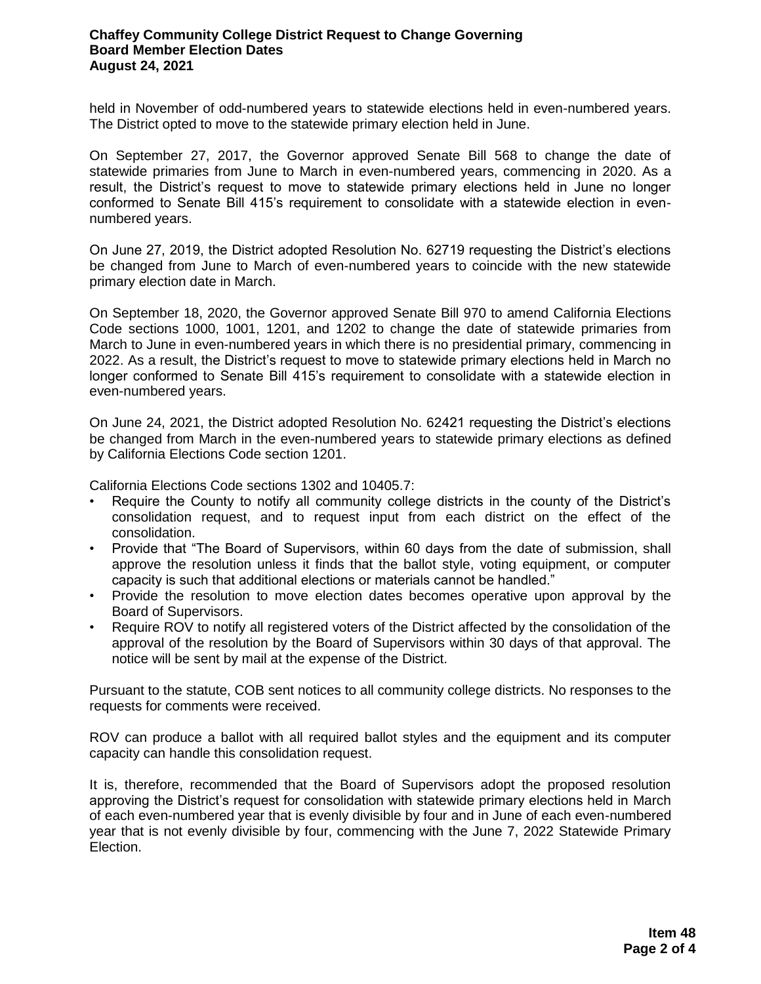#### **Chaffey Community College District Request to Change Governing Board Member Election Dates August 24, 2021**

held in November of odd-numbered years to statewide elections held in even-numbered years. The District opted to move to the statewide primary election held in June.

On September 27, 2017, the Governor approved Senate Bill 568 to change the date of statewide primaries from June to March in even-numbered years, commencing in 2020. As a result, the District's request to move to statewide primary elections held in June no longer conformed to Senate Bill 415's requirement to consolidate with a statewide election in evennumbered years.

On June 27, 2019, the District adopted Resolution No. 62719 requesting the District's elections be changed from June to March of even-numbered years to coincide with the new statewide primary election date in March.

On September 18, 2020, the Governor approved Senate Bill 970 to amend California Elections Code sections 1000, 1001, 1201, and 1202 to change the date of statewide primaries from March to June in even-numbered years in which there is no presidential primary, commencing in 2022. As a result, the District's request to move to statewide primary elections held in March no longer conformed to Senate Bill 415's requirement to consolidate with a statewide election in even-numbered years.

On June 24, 2021, the District adopted Resolution No. 62421 requesting the District's elections be changed from March in the even-numbered years to statewide primary elections as defined by California Elections Code section 1201.

California Elections Code sections 1302 and 10405.7:

- Require the County to notify all community college districts in the county of the District's consolidation request, and to request input from each district on the effect of the consolidation.
- Provide that "The Board of Supervisors, within 60 days from the date of submission, shall approve the resolution unless it finds that the ballot style, voting equipment, or computer capacity is such that additional elections or materials cannot be handled."
- Provide the resolution to move election dates becomes operative upon approval by the Board of Supervisors.
- Require ROV to notify all registered voters of the District affected by the consolidation of the approval of the resolution by the Board of Supervisors within 30 days of that approval. The notice will be sent by mail at the expense of the District.

Pursuant to the statute, COB sent notices to all community college districts. No responses to the requests for comments were received.

ROV can produce a ballot with all required ballot styles and the equipment and its computer capacity can handle this consolidation request.

It is, therefore, recommended that the Board of Supervisors adopt the proposed resolution approving the District's request for consolidation with statewide primary elections held in March of each even-numbered year that is evenly divisible by four and in June of each even-numbered year that is not evenly divisible by four, commencing with the June 7, 2022 Statewide Primary Election.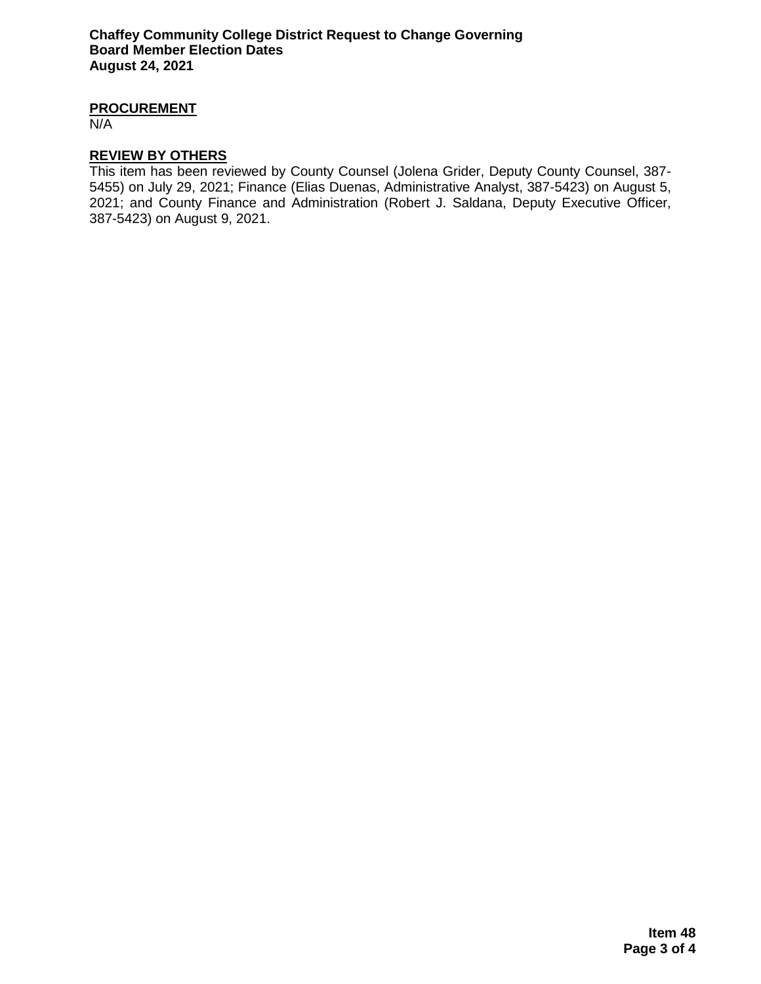### **PROCUREMENT**

N/A

#### **REVIEW BY OTHERS**

This item has been reviewed by County Counsel (Jolena Grider, Deputy County Counsel, 387- 5455) on July 29, 2021; Finance (Elias Duenas, Administrative Analyst, 387-5423) on August 5, 2021; and County Finance and Administration (Robert J. Saldana, Deputy Executive Officer, 387-5423) on August 9, 2021.